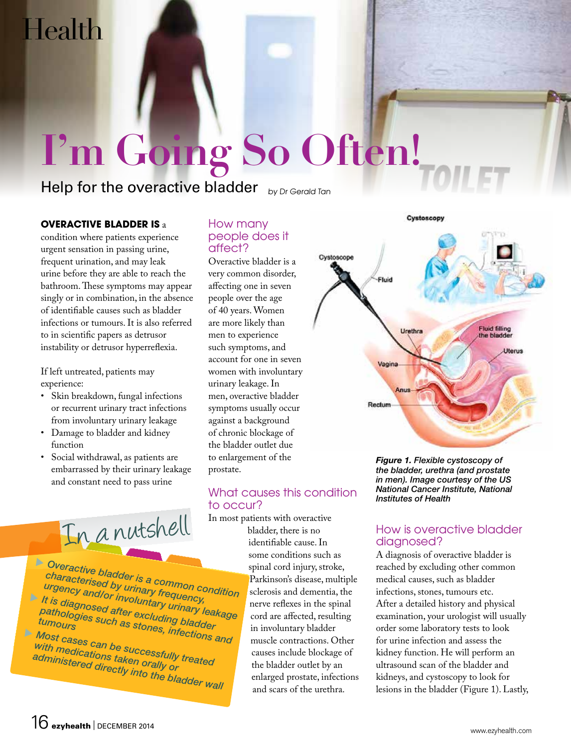## Health

# **I'm Going So Often!**

Help for the overactive bladder  $_{bVDGenedGT}$ 

#### **Overactive bladder is** a

condition where patients experience urgent sensation in passing urine, frequent urination, and may leak urine before they are able to reach the bathroom. These symptoms may appear singly or in combination, in the absence of identifiable causes such as bladder infections or tumours. It is also referred to in scientific papers as detrusor instability or detrusor hyperreflexia.

If left untreated, patients may experience:

- Skin breakdown, fungal infections or recurrent urinary tract infections from involuntary urinary leakage
- Damage to bladder and kidney function
- Social withdrawal, as patients are embarrassed by their urinary leakage and constant need to pass urine



*Overactive bladder is a common condition characterised by urinary frequency, urgency and/or involuntary urinary leakage It is diagnosed after excluding bladder tumours pathologies such as stones, infections and<br>Most cases can be successfully treated*<br>with medications taken or ally or *Most cases can be successfully treated with medications taken orally or administered directly into the bladder wall*

#### How many people does it affect?

Overactive bladder is a very common disorder, affecting one in seven people over the age of 40 years. Women are more likely than men to experience such symptoms, and account for one in seven women with involuntary urinary leakage. In men, overactive bladder symptoms usually occur against a background of chronic blockage of the bladder outlet due to enlargement of the prostate.

#### What causes this condition to occur?

In most patients with overactive bladder, there is no identifiable cause. In some conditions such as spinal cord injury, stroke, Parkinson's disease, multiple sclerosis and dementia, the nerve reflexes in the spinal cord are affected, resulting in involuntary bladder muscle contractions. Other causes include blockage of the bladder outlet by an enlarged prostate, infections and scars of the urethra.

Cystoscopy Cystoscope Fluid **Fluid filling** Urethra the bladder **Uterus** Vagina Recture

> *Figure 1. Flexible cystoscopy of the bladder, urethra (and prostate in men). Image courtesy of the US National Cancer Institute, National Institutes of Health*

### diagnosed?

A diagnosis of overactive bladder is reached by excluding other common medical causes, such as bladder infections, stones, tumours etc. After a detailed history and physical examination, your urologist will usually order some laboratory tests to look for urine infection and assess the kidney function. He will perform an ultrasound scan of the bladder and kidneys, and cystoscopy to look for lesions in the bladder (Figure 1). Lastly,